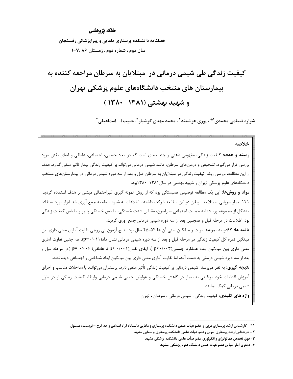## مقاله يژوهشي

فصلنامه دانشکده پرستاری مامایی و پیراپزشکی رفسنجان سال دوم ، شماره دوم . زمستان ۷،۸۶-۱

کیفیت زندگی طی شیمی درمانی در ًمبتلایان به سرطان مراجعه کننده به بیمارستان های منتخب دانشگاههای علوم پزشکی تهران و شهید بهشتی (۱۳۸۱- ۱۳۸۰)

شراره ضیغمی محمدی<sup>۰۰</sup>۰ ، پوری هوشمند<sup>۲</sup> ، محمد مهدی کوشیار <sup>۳</sup>، حبیب ا… اسماعیلی ۰<sup>۶</sup>

خلاصه **زمینه و هدف:** کیفیت زندگی، مفهومی ذهنی و چند بعدی است که در ابعاد جسمی، اجتماعی، عاطفی و ایفای نقش مورد بررسی قرار میگیرد. تشخیص و درمانهای سرطان، مانند شیمی درمانی میتواند بر کیفیت زندگی بیمار تاثیر منفی گذارد. هدف از این مطالعه، بررسی روند کیفیت زندگی در مبتلایان به سرطان قبل و بعد از سه دوره شیمی درمانی در بیمارستانهای منتخب دانشگاههای علوم پزشکی تهران و شهید بهشتی در سال ۱۳۸۱-۱۳۸۰بود. **مواد و روشها:** این یک مطالعه توصیفی همبستگی بود که از روش نمونه گیری غیراحتمالی مبتنی بر هدف استفاده گردید. ۱۲۱ بیمار سرپایی مبتلا به سرطان در این مطالعه شرکت داشتند. اطلاعات به شیوه مصاحبه جمع آوری شد. ابزار مورد استفاده متشكل از مجموعه پرسشنامه حمايت اجتماعي ساراسون، مقياس شدت خستگي، مقياس خستگي پايپر و مقياس كيفيت زندگي بود. اطلاعات در مرحله قبل و همچنین بعد از سه دوره شیمی درمانی جمع آوری گردید. **یافته ها:** ۶۲درصد نمونهها مونث و میانگین سنی آن ها ۴۵-۴۵ سال بود. نتایج آزمون تی زوجی تفاوت آماری معنی داری بین میانگین نمره کل کیفیت زندگی در مرحله قبل و بعد از سه دوره شیمی درمانی نشان داد(۰/۱۱)+p=). هم چنین تفاوت آماری معنی داری بین میانگین ابعاد عملکرد جسمی(p<۰/۰۰۳)، ایفای نقش(p<۰/۰۰۱) ، عاطفی(۰/۰۰۶ =p) )در مرحله قبل و بعد از سه دوره شیمی درمانی به دست آمد، اما تفاوت آماری معنی داری بین میانگین ابعاد شناختی و اجتماعی دیده نشد. **نتیجه گیری:** به نظر میرسد شیمی درمانی بر کیفیت زندگی تأثیر منفی دارد. پرستاران میتوانند با مداخلات مناسب و اجرای آموزش اقدامات خود مراقبتی به بیمار در کاهش خستگی و عوارض جانبی شیمی درمانی وارتقاء کیفیت زندگی او در طول شیمی درمانی کمک نمایند. واژه های کلیدی: کیفیت زندگی . شیمی درمانی ، سرطان ، تهران

<sup>&</sup>lt;sup>۱\*</sup> – کارشناس ارشد پرستاری مربی و عضو هیأت علمی دانشکده پرستاری و مامایی دانشگاه آزاد اسلامی واحد کرج – نویسنده مسئول

۲ - کارشناس ارشد پرستاری ًمربی وعضو هیأت علمی دانشکده پرستاری و مامایی مشهد

۳- فوق تخصص هماتولوژی و انکولوژی عضو هیأت علمی دانشکده پزشکی مشهد

۴- دکتری آمار حیاتی عضو هیأت علمی دانشگاه علوم پزشکی مشهد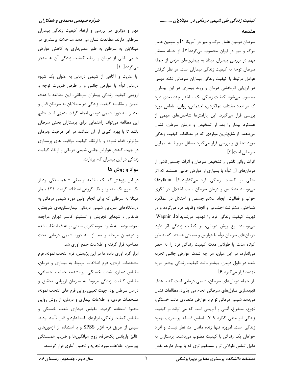#### مقدمه

سرطان دومین عامل مرگ و میر در آمریکا[۱] و سومین عامل مرگ و میر در ایران محسوب میگردد[۲]. از جمله مسائل مهم در بررسی بیماران مبتلا به بیماریهای مزمن از جمله سرطان توجه به کیفیت زندگی بیماران است. در نظر گرفتن عوامل مرتبط با كيفيت زندگي بيماران سرطاني نكته مهمي در ارزیابی اثربخشی درمان و روند بیماری در این بیماران محسوب می شود. کیفیت زندگی یک ساختار چند بعدی دارد که در ابعاد مختلف عملکردی، اجتماعی، روانی، عاطفی مورد بررسی قرار میگیرد. این پارامترها شاخصهای مهمی از عملکرد بیمار را بعد از تشخیص و درمان سرطان، نشان میدهند. از شایعترین مواردی که در مطالعات کیفیت زندگی مورد تحقیق و بررسی قرار میگیرد مسائل مربوط به بیماران سرطاني است[۳].

اثرات روانی ناشی از تشخیص سرطان و اثرات جسمی ناشی از درمانهای آن توأم با بسیاری از عوارض جانبی هستند که اثر منفی بر کیفیت زندگی فرد میگذارند[۴]. Ozylkan می نویسد تشخیص و درمان سرطان سبب اختلال در الگوی خواب و فعالیت، ایجاد علائم جسمی و اختلال در عملکرد شناختی، مشارکت اجتماعی و انجام وظایف فرد میگردد و در نهایت کیفیت زندگی فرد را تهدید می نماید[۵]. Wapnir مینویسد: نوع روش درمانی، بر کیفیت زندگی اثر دارد. درمانهای سرطان توأم با عوارض و سمیتی هستند که به طور کوتاه مدت یا طولانی مدت کیفیت زندگی فرد را به خطر می اندازد، در این میان، هر چه شدت عوارض جانبی تجربه شده در طول درمان، بیشتر باشد کیفیت زندگی بیشتر مورد تهديد قرار مي گيرد[۶].

از جمله درمانهای سرطان، شیمی درمانی است که با هدف نابودسازی سلولهای سرطانی انجام می پذیرد. مطالعات نشان میدهد شیمی درمانی توأم با عوارض متعددی مانند خستگی، تهوع، استفراغ، آنمي و آلوپسي است كه مي تواند بر كيفيت زندگی اثر منفی گذارد[۹-۷]. اساس فلسفه پرستاری، بهبود زندگی است. امروزه تنها زنده ماندن مد نظر نیست و افراد خواهان یک زندگی با کیفیت مطلوب میباشند. پرستاران به دلیل تماس طولانی تر و مستقیم تری که با بیمار دارند، نقش

مهم و مؤثری در بررسی و ارتقاء کیفیت زندگی بیماران سرطانی دارند. مطالعات نشان می دهد مداخلات پرستاری در مبتلایان به سرطان به طور معنیداری به کاهش عوارض جانبی ناشی از درمان و ارتقاء کیفیت زندگی آن ها منجر مے گردد[۱۰].

با عنایت و آگاهی از شیمی درمانی به عنوان یک شیوه درمانی توأم با عوارض جانبی و از طرفی ضرورت توجه و ارزیابی کیفیت زندگی بیماران سرطانی، این مطالعه با هدف تعیین و مقایسه کیفیت زندگی در مبتلایان به سرطان قبل و بعد از سه دوره شیمی درمانی انجام گرفت. بدیهی است نتایج این مطالعه میتواند راهنمایی برای پرستاران بخش سرطان باشد تا با بهره گیری از آن بتوانند در امر مراقبت ودرمان مؤثرتر، اقدام نموده و با ارتقاء کیفیت مراقبت های پرستاری در جهت کاهش عوارض جانبی شیمی درمانی و ارتقاء کیفیت زندگی در این بیماران گام بردارند.

# مواد و روش ها

در این پژوهش که یک مطالعه توصیفی – همبستگی بود از یک طرح تک متغیره و تک گروهی استفاده گردید. ۱۲۱ بیمار مبتلا به سرطان که برای انجام اولین دوره شیمی درمانی به درمانگاههای سرپایی شیمی درمانی بیمارستانهای شریعتی، طالقانی ، شهدای تجریش و انستیتو کانسر تهران مراجعه نموده بودند، به شیوه نمونه گیری مبتنی بر هدف انتخاب شده و درهمین مرحله و بعد از سه دوره شیمی درمانی تحت مصاحبه قرار گرفته و اطلاعات جمع آوري شد.

ابزار گرد آوری داده ها در این پژوهش، فرم انتخاب نمونه، فرم مشخصات فردی، فرم اطلاعات مربوط به بیماری و درمان، مقیاس دیداری شدت خستگی، پرسشنامه حمایت اجتماعی، مقیاس کیفیت زندگی مربوط به سازمان اروپایی تحقیق و درمان سرطان بود. جهت تعيين روايي فرم هاي انتخاب نمونه، مشخصات فردی، و اطلاعات بیماری و درمان، از روش روایی محتوا استفاده گردید. مقیاس دیداری شدت خستگی و مقیاس کیفیت زندگی، ابزارهای استاندارد و قابل تأیید بودند. سیس از طریق نرم افزار SPSS و با استفاده از آزمونهای أناليز واريانس يكطرفه، زوج ميانگينها و ضريب همبستگي پیرسون، اطلاعات مورد تجزیه و تحلیل آماری قرار گرفتند.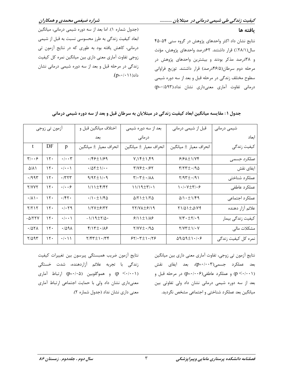## ىافته ها

نتایج نشان داد اکثر واحدهای پژوهش در گروه سنی ۵۴-۴۵ سال(٢٨/١/) قرار داشتند. ۶۲درصد واحدهای پژوهش، مؤنث و ۳۸درصد مذکر بودند و بیشترین واحدهای پژوهش در مرحله دوم سرطان(۴۶/۵درصد) قرار داشتند. توزیع فراوانی سطوح مختلف زندگی در مرحله قبل و بعد از سه دوره شیمی درمانی تفاوت آماری معنیداری نشان نداد.(p=٠/۵٩٣)

(جدول شماره ١). اما بعد از سه دوره شیمی درمانی، میانگین ابعاد کیفیت زندگی به طرز محسوسی نسبت به قبل از شیمی درمانی، کاهش یافته بود به طوری که در نتایج آزمون تی زوجی تفاوت آماری معنی داری بین میانگین نمره کل کیفیت زندگی در مرحله قبل و بعد از سه دوره شیمی درمانی نشان  $(p=+1)$ داد

شراره ضیغمی محمدی و همکاران

| ازمون تي زوجي                   |               |                                | اختلاف ميانگين قبل و                                             | بعد از سه دوره شیمی                                           | قبل از شیمی درمانی                                                    | شیمی درمانی         |
|---------------------------------|---------------|--------------------------------|------------------------------------------------------------------|---------------------------------------------------------------|-----------------------------------------------------------------------|---------------------|
|                                 |               |                                | درمانی<br>بعد                                                    |                                                               | ابعاد                                                                 |                     |
| t                               | DF            | p                              | انحراف معيار ± ميانگين                                           | انحراف معيا <sub>د</sub> ± ميانگين                            | انحراف معيا <sub>د</sub> ± ميانگين                                    | کیفیت زندگی         |
| $\mathbf{y}_1 \cdot \mathbf{y}$ | $\mathcal{N}$ | $\cdot$ / $\cdot$ $\uparrow$   | $\cdot$ /۴۶ $\pm$ ۱/۶۹                                           | $Y, Y^{\pm}$                                                  | $9/9$ $\pm$ $1$ / $\gamma$ ۴                                          | عملكرد جسمى         |
| $\Delta/\Lambda$                | $\mathcal{N}$ | $\cdot$ / $\cdot$ \            | $\cdot$ / $\Delta$ $\uparrow$ $\pm$ $\uparrow$ / $\cdot$ $\cdot$ | $\frac{6}{2}$                                                 | $\tau/\tau\tau\pm\cdot$ /90                                           | ایفای نقش           |
| $\cdot$ /99۳                    | 15.           | $\cdot$ /۳۲۳                   | $9/97 \pm 1/19$                                                  | $\mathbf{Y}/\cdot\mathbf{Y}$ $\pm$ $\cdot$ / $\lambda\lambda$ | $Y/97 \pm 191$                                                        | عملكرد شناختى       |
| <b>Y/YYY</b>                    | 15.           | $\cdot$ $ \cdot \cdot \rangle$ | $1/11$ $\pm$ $5/57$                                              | $11/19 \pm 7/11$                                              | $\mathcal{N} \cdot \mathcal{N} \times \mathcal{N} \times \mathcal{S}$ | عملكرد عاطفى        |
| $\cdot/\lambda \setminus \cdot$ | $\mathcal{N}$ | $\cdot$ /۴۲ $\cdot$            | $\cdot$ /1 $\cdot$ $\pm$ 1/۴۵                                    | $\Delta$ / $\Upsilon$ ) $\pm$ )/ $\Upsilon$ $\Delta$          | $\Delta/\Gamma$ + $\pm \Gamma$ /۴۹                                    | عملكرد اجتماعى      |
| Y/Y                             | $\mathcal{N}$ | $\cdot$ / $\cdot$ $\uparrow$ 9 | $1/7V \pm 5/77$                                                  | TY/VA±8/19                                                    | $\gamma$ 1/41 $\pm$ <i>5</i> /19                                      | علائم آزار دهنده    |
| $-\Delta$ /٢٢٧                  | 15.           | $\cdot$ / $\cdot$ )            | $-1/19 \pm 7/0$                                                  | $9/11 \pm 1/19$                                               | $Y/\Upsilon \cdot \pm \Upsilon/\cdot \eta$                            | كيفيت زندگي بيمار   |
| .707 <sub>A</sub>               | $\mathcal{N}$ | .7091                          | $f/\sqrt{\pm} \cdot / \sqrt{2}$                                  | $Y/YY \pm -190$                                               | $Y/YY^{\pm}Y/Y$                                                       | مشكلات مالى         |
| $Y/\Delta$ 95                   | $\mathcal{N}$ | $\cdot/\cdot$ \ \              | $771.1 + 777$                                                    | $57/\cdot 7 \pm 1/\cdot 75$                                   | $09/09 \pm 1.7.5$                                                     | نمرہ کل کیفیت زندگی |

جدول ۱ : مقایسه میانگین ابعاد کیفیت زندگی در مبتلایان به سرطان قبل و بعد از سه دوره شیمی درمانی

نتايج آزمون ضريب همبستگي پيرسون بين تغييرات كيفيت زندگی با تجربه علائم آزاردهنده، شدت خستگی (p < · / · · )) و هموگلوبین (p= · / · ۵) ارتباط آماری معنیداری نشان داد ولی با حمایت اجتماعی ارتباط آماری معنی داری نشان نداد (جدول شماره ۲).

نتایج آزمون تی زوجی، تفاوت آماری معنی داری بین میانگین بعد عملکرد جسمی(p=۰/۰۰۳)، بعد ایفای نقش (p < · / · · )) و عملکرد عاطفی(p= · / · · 8) در مرحله قبل و بعد از سه دوره شیمی درمانی نشان داد ولی تفاوتی بین میانگین بعد عملکرد شناختی و اجتماعی مشخص نگردید.

 $\mathbf{r}$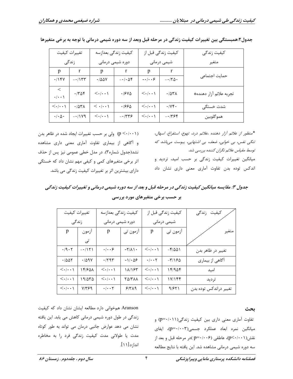| تغييرات كيفيت                         |                       | كيفيت زندگي بعدازسه                                              |              | كيفيت زندگي قبل از                    |                          | كيفيت زندگى             |
|---------------------------------------|-----------------------|------------------------------------------------------------------|--------------|---------------------------------------|--------------------------|-------------------------|
| زندگی                                 |                       | دوره شیمی درمانی                                                 |              | شیمی درمانی                           |                          | متغير                   |
| p                                     | r                     | p                                                                | $\mathbf{r}$ | p                                     | r                        |                         |
| ۰/۱۴۷                                 | $-\cdot/1$ $\tau\tau$ | $\cdot$ /00Y                                                     | $-1.08$      | $-\cdot/\cdot\cdot$ ۶                 | $-170.$                  | حمايت اجتماعي           |
| $\prec$<br>$\cdot/\cdot\cdot$         | ۰/۳۵۴                 | $<\!\!\boldsymbol{\cdot}/\!\!\boldsymbol{\cdot}\cdot\mathcal{N}$ | $\cdot$ /۶۷۵ | $\langle\cdot \cdot\cdot\rangle$      | $\cdot$ /558             | تجربه علائم آزار دهنده» |
| $\langle \cdot   \cdot \cdot \rangle$ | .787A                 | $<$ $\cdot$ / $\cdot$ )                                          | ۱۶۶۵.        | $\langle \cdot   \cdot \cdot \rangle$ | $\cdot$ / $\vee$ $\circ$ | شدت خستگی               |
| $\cdot/\cdot \Delta \cdot$            | $-11Y9$               | $\langle \cdot   \cdot \cdot \rangle$                            | $-1549$      | $\langle \cdot   \cdot \cdot \rangle$ | $-1798$                  | هموگلوبين               |

جدول۲:همبستگی بین تغییرات کیفیت زندگی در مرحله قبل وبعد از سه دوره شیمی درمانی با توجه به برخی متغیرها

(p < · / · · )) ولی بر حسب تغییرات ایجاد شده در ظاهر بدن و آگاهی از بیماری تفاوت آماری معنی داری مشاهده نشد(جدول شماره۳). در مدل خطی عمومی نیز پس از حذف اثر برخی متغیرهای کمی و کیفی مهم نشان داد که خستگی دارای بیشترین اثر بر تغییرات کیفیت زندگی می باشد.

\*منظور از علائم آزار دهنده ،علائم درد، تهوع، استفراغ، اسهال، تنگی نفس، بی خوابی، ضعف، بی اشتهایی، یبوست میباشد که توسط مقیاس علائم نگران کننده بررسی شد. میانگین تغییرات کیفیت زندگی بر حسب امید، تردید و اندکس توده بدن تفاوت آماری معنی داری نشان داد

جدول ۳: مقایسه میانگین کیفیت زندگی در مرحله قبل و بعد از سه دوره شیمی درمانی و تغییرات کیفیت زندگی بر حسب برخی متغیرهای مورد بررسی

| تغييرات كيفيت                         |                    | كيفيت زندگي بعدازسه              |                           | کیفیت زندگی قبل از                    |                                              | كيفيت زندگى            |
|---------------------------------------|--------------------|----------------------------------|---------------------------|---------------------------------------|----------------------------------------------|------------------------|
| زندگی                                 |                    | دوره شیمی درمانی                 |                           | شیمی درمانی                           |                                              |                        |
| p                                     | ازمون              | p                                | آزمون تي                  | p                                     | آزمون تي                                     | متغير                  |
|                                       | تى                 |                                  |                           |                                       |                                              |                        |
| $\cdot$ /9 $\cdot$ $\cdot$            | $-\cdot/151$       | $\cdot$ / $\cdot$ ۶              | $-Y/\lambda$              | $\langle \cdot   \cdot \cdot \rangle$ | $-\mathcal{F}/\Delta\Delta$                  | تغيير در ظاهر بدن      |
| .7001                                 | $\cdot$ /09 $\vee$ | $\cdot$ /۲۹۳                     | $-1$ . 56                 | $\cdot/\cdot\cdot\mathsf{Y}$          | $-\mathsf{r}/\mathsf{1}\mathsf{2}\mathsf{0}$ | آگاهي از بيماري        |
| $\langle \cdot   \cdot \cdot \rangle$ | ۱۴۱۶۵۸             | $\langle\cdot \cdot\cdot\rangle$ | ۱۸/۱۶۳                    | $\langle\cdot \!\cdot\cdot\rangle$    | ۱۴/۹۵۴                                       | امىد                   |
| $\langle \cdot   \cdot \cdot \rangle$ | ۱۹/۵۳۵             | $\langle\cdot \cdot\cdot\rangle$ | $Y\Delta/Y\Lambda\Lambda$ | $\langle\cdot \!\cdot\cdot\rangle$    | ۱۷/۱۴۴                                       | ترديد                  |
| $\langle \cdot   \cdot \cdot \rangle$ | 7/۳۶۹              | $\cdot/\cdot\cdot$ $\mathsf{Y}$  | 5/7                       | $\langle \cdot   \cdot \cdot \rangle$ | 9/۶۲۱                                        | تغيير دراندكس توده بدن |

ىحث

تفاوت آماری معنی داری بین کیفیت زندگی(p=٠/٠١١) و میانگین نمره ابعاد عملکرد جسمی(p=۰/۰۰۳)، ایفای نقش(p<-/··۱)، عاطفي (p=۰/۰۰۶) در مرحله قبل و بعد از سه دوره شیمی درمانی مشاهده شد. این یافته با نتایج مطالعه

Aranson همخوانی دارد مطالعه ایشان نشان داد که کیفیت زندگی در طول دوره شیمی درمانی کاهش می یابد. این یافته نشان می دهد عوارض جانبی درمان می تواند به طور کوتاه مدت یا طولانی مدت کیفیت زندگی فرد را به مخاطره انداز د [۱۱].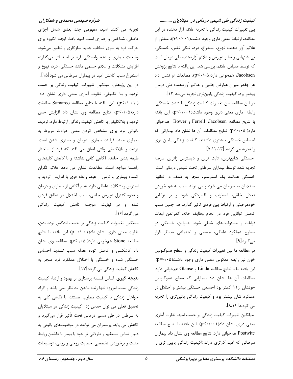# کیفیت زندگی طی شیمی درمانی در مبتلایان ...........

بین تغییرات کیفیت زندگی با تجربه علائم آزار دهنده در این مطالعه، ارتباط معنى دارى وجود داشت( p<٠/٠١). منظور از علائم آزار دهنده تهوع، استفراغ، درد، تنگی نفس، خستگی، بی اشتهایی و سایر عوارض و علائم آزاردهنده طی درمان است که توسط مقیاس علائم، بررسی شد. این یافته با نتایج پژوهش Jacobsen، همخوانی دارد(p<٠/٠۵). مطالعات او نشان داد هر چقدر میزان عوارض جانبی و علائم آزاردهنده طی درمان

بیشتر بود، کیفیت زندگی پایینتری تجربه میشد[۱۲]. در این مطالعه بین تغییرات کیفیت زندگی با شدت خستگی، رابطه آماری معنی داری وجود داشت(p<۰/۰۰۱). این یافته با نتايج مطالعه Ferrell Jacobsen و Bower همخواني دارد( p<٠/٠۵). نتايج مطالعات آن ها نشان داد بيماراني كه احساس خستگی بیشتری داشتند، کیفیت زندگی پایین تری را تجربه می کردند[۷،۱۲،۱۳].

خستگی شایعترین، ثابت ترین و دیسترس زاترین عارضه تجربه شده توسط بیماران سرطانی تحت شیمی درمانی است. خستگی همانند یک استرسور، منجر به ضعف در تطابق مبتلایان به سرطان می شود و می تواند سبب به هم خوردن تعادل خلقی، اضطراب و افسردگی شود و بر توانایی خودمراقبتي و ارتباط بين فردي تأثير گذارد. هم چنين سبب كاهش توانايي فرد در انجام وظايف خانه، گذراندن اوقات فراغت و مسئولیتهای شغلی شود. بنابراین، خستگی در سطوح عملکرد عاطفی، جسمی و اجتماعی مدنظر قرار مے گیرد[۹].

در مطالعه ما بین تغییرات کیفیت زندگی و سطح هموگلوبین خون نیز رابطه معکوس معنی داری وجود داشت(p=۰/۰۵). اين يافته ما با نتايج مطالعه Linda و Glanse همخواني دارد. مطالعات آن ها نشان داد بيماراني كه سطح هموگلوبين خونشان از ۱۱ کمتر بود احساس خستگی بیشتر و اختلال در عملکرد شان بیشتر بود و کیفیت زندگی پائینتری را تجربه می کردند[۸،۱۴].

میانگین تغییرات کیفیت زندگی بر حسب امید، تفاوت آماری معنی داری نشان داد(p<۰/۰۰۱). این یافته با نتایج مطالعه Postwite همخواني دارد. نتايج مطالعه وي نشان داد بيماران سرطانی که امید کمتری دارند tکیفیت زندگی پایین تری را

تجربه می کنند. امید، مفهومی چند بعدی شامل اجزای عاطفي، شناختي و رفتاري است. اميد باعث ايجاد انگيزه براي حرکت فرد به سوی انتخاب جدید سازگاری و تطابق میشود. وضعیت بیماری و عدم وابستگی فرد بر امید اثر میگذارد، افزایش مشکلات و علائم جسمی مانند خستگی، درد، تهوع و استفراغ سبب کاهش امید در بیماران سرطانی می شود[۱۵]. در این پژوهش، میانگین تغییرات کیفیت زندگی بر حسب تردید و بلا تکلیفی، تفاوت آماری معنی داری نشان داد ( p<٠/٠٠١). اين يافته با نتايج مطالعه Samarco مطابقت دارد(p<٠/٠۵). نتايج مطالعه وي نشان داد افزايش حس تردید و بلاتکلیفی با کاهش کیفیت زندگی ارتباط دارد. تردید، ناتوانی فرد برای مشخص کردن معنی حوادث مربوط به بیماری مانند فرایند بیماری، درمان و بستری شدن است. تردید و بلاتکلیفی وقتی اتفاق می افتد که فرد از ساختار طبقه بندی حادثه، آگاهی کافی نداشته و با کاهش کلیدهای راهنما مواجه است. مطالعات نشان می دهد علائم نگران کننده بیماری و ترس از عود، رابطه قوی با افزایش تردید و استرس ومشكلات عاطفي دارد. عدم آگاهي از بيماري و درمان و نحوه كنترل عوارض جانبي، سبب اختلال در تطابق فردى شده و در نهایت، موجب کاهش کیفیت زندگی مے گردد[۱۶].

میانگین تغییرات کیفیت زندگی بر حسب اندکس توده بدن، تفاوت معنى دارى نشان داد(p=٠/٠٠١) اين يافته با نتايج مطالعه Stone همخوانی دارد( p<۰/۰۵). مطالعه وی نشان داد کاشکسی و کاهش توده عضله سبب تشدید احساس خستگی شده و خستگی با اختلال عملکرد فرد منجر به کاهش کیفیت زندگی می گردد[۱۷].

**نتیجه گیری**: اساس فلسفه پرستاری بر بهبود و ارتقاء کیفیت زندگی است. امروزه تنها زنده ماندن مد نظر نمی باشد و افراد خواهان زندگی با کیفیت مطلوب هستند. با نگاهی کلی به تحقیق فعلی می توان حدس زد کیفیت زندگی در مبتلایان به سرطان در طی مسیر درمانی تحت تأثیر قرار میگیرد و کاهش می یابد. پرستاران می توانند در موقعیتهای بالینی به دلیل تماس مستقیم و طولانی تر خود با بیمار با داشتن روابط مثبت و برخوردی تخصصی، حمایت روحی و روانی، توضیحات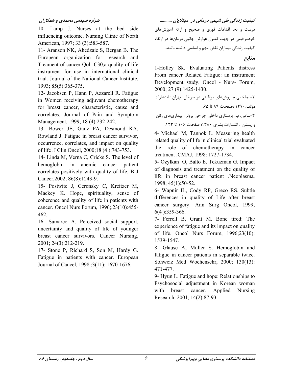## شراره ضیغمی محمدی و همکاران

10- Lamp J. Nurses at the bed side influencing outcome. Nursing Clinic of North American, 1997; 33 (3):583-587.

11- Aranson NK, Ahedzaie S, Bergan B. The European organization for research and Treament of cancer Qol -C30, a quality of life instrument for use in international clinical trial. Journal of the National Cancer Institute, 1993; 85(5): 365-375.

12- Jacobsen P, Hann P, Azzarell R. Fatigue in Women receiving adjuvant chemotherapy for breast cancer, characteristic, cause and correlates. Journal of Pain and Symptom Management, 1999; 18 (4):232-242.

13- Bower JE, Ganz PA, Desmond KA, Rowland J. Fatigue in breast cancer survivor, occurrence, correlates, and impact on quality of life .J Clin Oncol, 2000;18 (4):743-753.

14- Linda M, Verna C, Cricks S. The level of hemoglobin in anemic cancer patient correlates positively with quality of life. B J Cancer, 2002; 86(8): 1243-9.

15- Postwite J, Ceronsky C, Kreitzer M, Mackey K. Hope, spirituality, sense of coherence and quality of life in patients with cancer. Oncol Nurs Forum, 1996; 23(10): 455-462.

16- Samarco A. Perceived social support, uncertainty and quality of life of younger breast cancer survivors. Cancer Nursing, 2001; 24(3):212-219.

17- Stone P, Richard S, Son M, Hardy G. Fatigue in patients with cancer. European Journal of Cancel, 1998 ;3(11): 1670-1676.

کیفیت زندگی طی شیمی درمانی در مبتلایان ........... درست و بجا اقدامات فوری و صحیح و ارائه آموزشهای خودمراقبتی در جهت کنترل عوارض جانبی درمانها در ارتقاء کیفیت زندگی بیماران نقش مهم و اساسی داشته باشند.

منابع

1-Holley Sk. Evaluating Patients distress From cancer Related Fatigue: an instrument Development study. Oncol - Nurs- Forum. 2000; 27 (9):1425-1430.

۳-سامي، پ. پرستاري داخلي جراحي برونر . بيماريهاي زنان و یستان ، انتشارات بشری ۱۳۸۰: صفحات ۱۰۶ تا ۱۲۳.

4- Michael M, Tannok L. Measuring health related quality of life in clinical trial evaluated the role of chemotherapy in cancer treatment .CMAJ, 1998: 1727-1734.

5- Ozylkan O, Balto E, Tekuzman G. Impact of diagnosis and treatment on the quality of life in breast cancer patient .Neoplasma,  $1998; 45(1):50-52.$ 

6- Wapnir IL, Cody RP, Greco RS. Subtle differences in quality of Life after breast cancer surgery. Ann Surg Oncol, 1999;  $6(4)$ :359-366.

7- Ferrell B, Grant M. Bone tired: The experience of fatigue and its impact on quality of life. Oncol Nurs Forum, 1996;23(10): 1539-1547.

8- Glause A, Muller S. Hemoglobin and fatigue in cancer patients in separable twice. Sohweiz Med Wochenschr, 2000; 130(13): 471-477.

9- Hyun L. Fatigue and hope: Relationships to Psychosocial adjustment in Korean woman cancer. with breast Applied Nursing Research, 2001; 14(2):87-93.